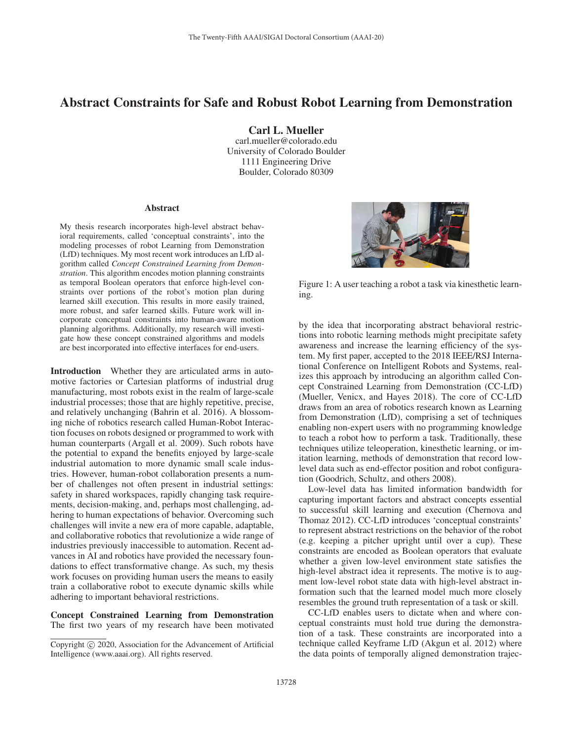## Abstract Constraints for Safe and Robust Robot Learning from Demonstration

Carl L. Mueller carl.mueller@colorado.edu University of Colorado Boulder 1111 Engineering Drive Boulder, Colorado 80309

## **Abstract**

My thesis research incorporates high-level abstract behavioral requirements, called 'conceptual constraints', into the modeling processes of robot Learning from Demonstration (LfD) techniques. My most recent work introduces an LfD algorithm called *Concept Constrained Learning from Demonstration*. This algorithm encodes motion planning constraints as temporal Boolean operators that enforce high-level constraints over portions of the robot's motion plan during learned skill execution. This results in more easily trained, more robust, and safer learned skills. Future work will incorporate conceptual constraints into human-aware motion planning algorithms. Additionally, my research will investigate how these concept constrained algorithms and models are best incorporated into effective interfaces for end-users.

Introduction Whether they are articulated arms in automotive factories or Cartesian platforms of industrial drug manufacturing, most robots exist in the realm of large-scale industrial processes; those that are highly repetitive, precise, and relatively unchanging (Bahrin et al. 2016). A blossoming niche of robotics research called Human-Robot Interaction focuses on robots designed or programmed to work with human counterparts (Argall et al. 2009). Such robots have the potential to expand the benefits enjoyed by large-scale industrial automation to more dynamic small scale industries. However, human-robot collaboration presents a number of challenges not often present in industrial settings: safety in shared workspaces, rapidly changing task requirements, decision-making, and, perhaps most challenging, adhering to human expectations of behavior. Overcoming such challenges will invite a new era of more capable, adaptable, and collaborative robotics that revolutionize a wide range of industries previously inaccessible to automation. Recent advances in AI and robotics have provided the necessary foundations to effect transformative change. As such, my thesis work focuses on providing human users the means to easily train a collaborative robot to execute dynamic skills while adhering to important behavioral restrictions.

Concept Constrained Learning from Demonstration The first two years of my research have been motivated



Figure 1: A user teaching a robot a task via kinesthetic learning.

by the idea that incorporating abstract behavioral restrictions into robotic learning methods might precipitate safety awareness and increase the learning efficiency of the system. My first paper, accepted to the 2018 IEEE/RSJ International Conference on Intelligent Robots and Systems, realizes this approach by introducing an algorithm called Concept Constrained Learning from Demonstration (CC-LfD) (Mueller, Venicx, and Hayes 2018). The core of CC-LfD draws from an area of robotics research known as Learning from Demonstration (LfD), comprising a set of techniques enabling non-expert users with no programming knowledge to teach a robot how to perform a task. Traditionally, these techniques utilize teleoperation, kinesthetic learning, or imitation learning, methods of demonstration that record lowlevel data such as end-effector position and robot configuration (Goodrich, Schultz, and others 2008).

Low-level data has limited information bandwidth for capturing important factors and abstract concepts essential to successful skill learning and execution (Chernova and Thomaz 2012). CC-LfD introduces 'conceptual constraints' to represent abstract restrictions on the behavior of the robot (e.g. keeping a pitcher upright until over a cup). These constraints are encoded as Boolean operators that evaluate whether a given low-level environment state satisfies the high-level abstract idea it represents. The motive is to augment low-level robot state data with high-level abstract information such that the learned model much more closely resembles the ground truth representation of a task or skill.

CC-LfD enables users to dictate when and where conceptual constraints must hold true during the demonstration of a task. These constraints are incorporated into a technique called Keyframe LfD (Akgun et al. 2012) where the data points of temporally aligned demonstration trajec-

Copyright  $\odot$  2020, Association for the Advancement of Artificial Intelligence (www.aaai.org). All rights reserved.